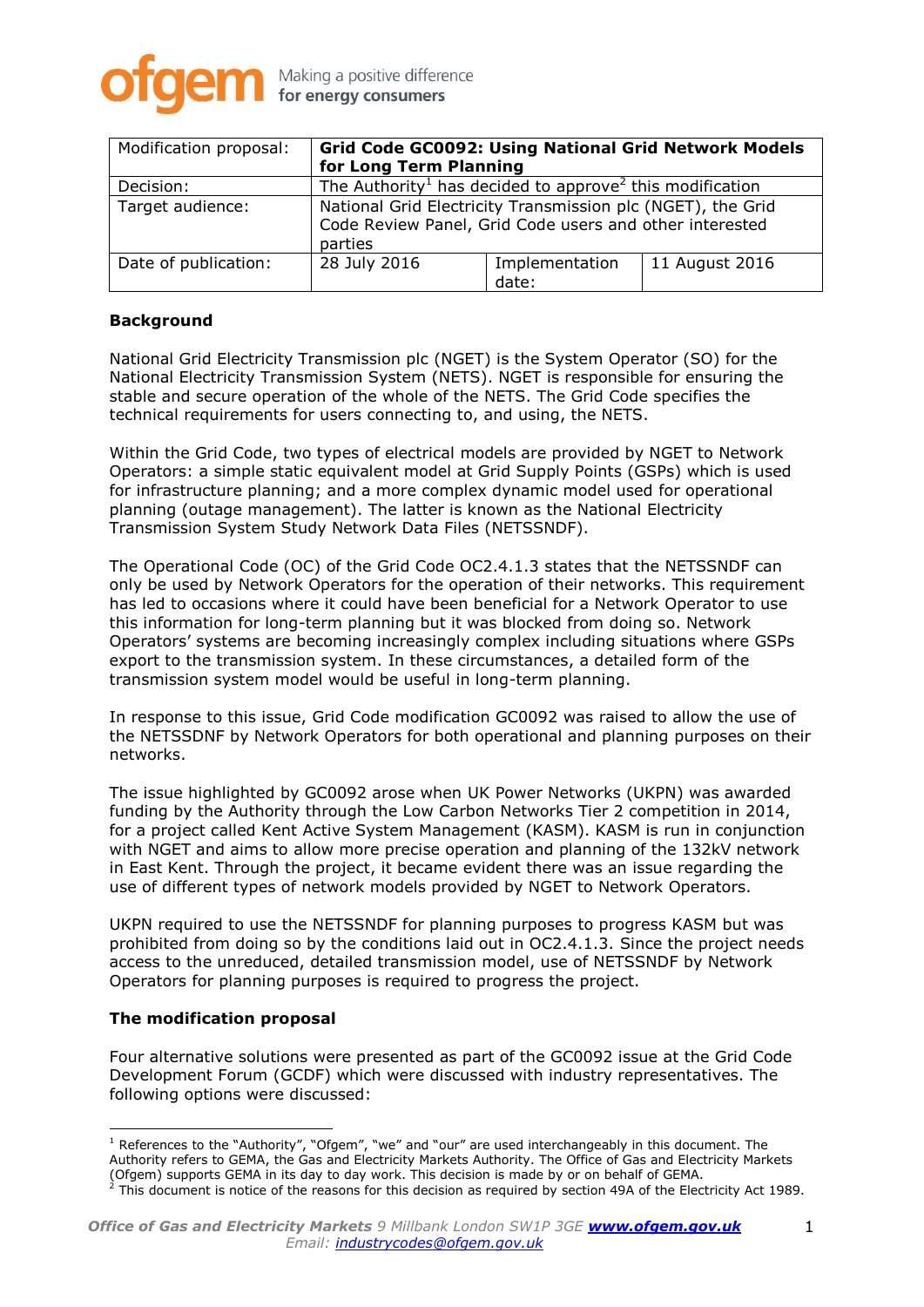

| Modification proposal: | Grid Code GC0092: Using National Grid Network Models<br>for Long Term Planning                                                    |                         |                |
|------------------------|-----------------------------------------------------------------------------------------------------------------------------------|-------------------------|----------------|
| Decision:              | The Authority <sup>1</sup> has decided to approve <sup>2</sup> this modification                                                  |                         |                |
| Target audience:       | National Grid Electricity Transmission plc (NGET), the Grid<br>Code Review Panel, Grid Code users and other interested<br>parties |                         |                |
| Date of publication:   | 28 July 2016                                                                                                                      | Implementation<br>date: | 11 August 2016 |

### **Background**

National Grid Electricity Transmission plc (NGET) is the System Operator (SO) for the National Electricity Transmission System (NETS). NGET is responsible for ensuring the stable and secure operation of the whole of the NETS. The Grid Code specifies the technical requirements for users connecting to, and using, the NETS.

Within the Grid Code, two types of electrical models are provided by NGET to Network Operators: a simple static equivalent model at Grid Supply Points (GSPs) which is used for infrastructure planning; and a more complex dynamic model used for operational planning (outage management). The latter is known as the National Electricity Transmission System Study Network Data Files (NETSSNDF).

The Operational Code (OC) of the Grid Code OC2.4.1.3 states that the NETSSNDF can only be used by Network Operators for the operation of their networks. This requirement has led to occasions where it could have been beneficial for a Network Operator to use this information for long-term planning but it was blocked from doing so. Network Operators' systems are becoming increasingly complex including situations where GSPs export to the transmission system. In these circumstances, a detailed form of the transmission system model would be useful in long-term planning.

In response to this issue, Grid Code modification GC0092 was raised to allow the use of the NETSSDNF by Network Operators for both operational and planning purposes on their networks.

The issue highlighted by GC0092 arose when UK Power Networks (UKPN) was awarded funding by the Authority through the Low Carbon Networks Tier 2 competition in 2014, for a project called Kent Active System Management (KASM). KASM is run in conjunction with NGET and aims to allow more precise operation and planning of the 132kV network in East Kent. Through the project, it became evident there was an issue regarding the use of different types of network models provided by NGET to Network Operators.

UKPN required to use the NETSSNDF for planning purposes to progress KASM but was prohibited from doing so by the conditions laid out in OC2.4.1.3. Since the project needs access to the unreduced, detailed transmission model, use of NETSSNDF by Network Operators for planning purposes is required to progress the project.

# **The modification proposal**

 $\overline{a}$ 

Four alternative solutions were presented as part of the GC0092 issue at the Grid Code Development Forum (GCDF) which were discussed with industry representatives. The following options were discussed:

 $1$  References to the "Authority", "Ofgem", "we" and "our" are used interchangeably in this document. The Authority refers to GEMA, the Gas and Electricity Markets Authority. The Office of Gas and Electricity Markets (Ofgem) supports GEMA in its day to day work. This decision is made by or on behalf of GEMA.  $^2$  This document is notice of the reasons for this decision as required by section 49A of the Electricity Act 1989.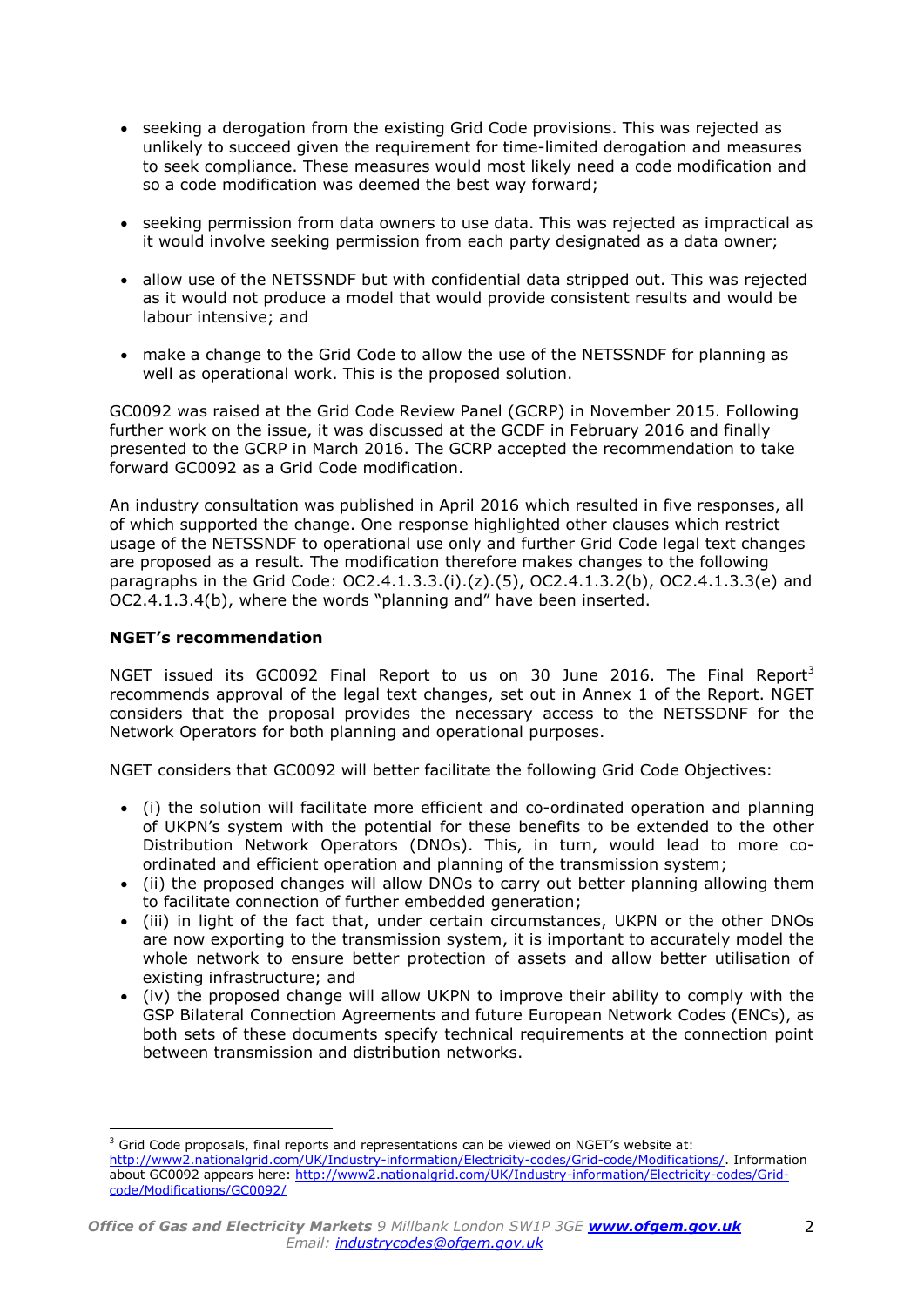- seeking a derogation from the existing Grid Code provisions. This was rejected as unlikely to succeed given the requirement for time-limited derogation and measures to seek compliance. These measures would most likely need a code modification and so a code modification was deemed the best way forward;
- seeking permission from data owners to use data. This was rejected as impractical as it would involve seeking permission from each party designated as a data owner;
- allow use of the NETSSNDF but with confidential data stripped out. This was rejected as it would not produce a model that would provide consistent results and would be labour intensive; and
- make a change to the Grid Code to allow the use of the NETSSNDF for planning as well as operational work. This is the proposed solution.

GC0092 was raised at the Grid Code Review Panel (GCRP) in November 2015. Following further work on the issue, it was discussed at the GCDF in February 2016 and finally presented to the GCRP in March 2016. The GCRP accepted the recommendation to take forward GC0092 as a Grid Code modification.

An industry consultation was published in April 2016 which resulted in five responses, all of which supported the change. One response highlighted other clauses which restrict usage of the NETSSNDF to operational use only and further Grid Code legal text changes are proposed as a result. The modification therefore makes changes to the following paragraphs in the Grid Code: OC2.4.1.3.3.(i).(z).(5), OC2.4.1.3.2(b), OC2.4.1.3.3(e) and OC2.4.1.3.4(b), where the words "planning and" have been inserted.

## **NGET's recommendation**

 $\overline{a}$ 

NGET issued its GC0092 Final Report to us on 30 June 2016. The Final Report<sup>3</sup> recommends approval of the legal text changes, set out in Annex 1 of the Report. NGET considers that the proposal provides the necessary access to the NETSSDNF for the Network Operators for both planning and operational purposes.

NGET considers that GC0092 will better facilitate the following Grid Code Objectives:

- (i) the solution will facilitate more efficient and co-ordinated operation and planning of UKPN's system with the potential for these benefits to be extended to the other Distribution Network Operators (DNOs). This, in turn, would lead to more coordinated and efficient operation and planning of the transmission system;
- (ii) the proposed changes will allow DNOs to carry out better planning allowing them to facilitate connection of further embedded generation;
- (iii) in light of the fact that, under certain circumstances, UKPN or the other DNOs are now exporting to the transmission system, it is important to accurately model the whole network to ensure better protection of assets and allow better utilisation of existing infrastructure; and
- (iv) the proposed change will allow UKPN to improve their ability to comply with the GSP Bilateral Connection Agreements and future European Network Codes (ENCs), as both sets of these documents specify technical requirements at the connection point between transmission and distribution networks.

<sup>&</sup>lt;sup>3</sup> Grid Code proposals, final reports and representations can be viewed on NGET's website at: [http://www2.nationalgrid.com/UK/Industry-information/Electricity-codes/Grid-code/Modifications/.](http://www2.nationalgrid.com/UK/Industry-information/Electricity-codes/Grid-code/Modifications/) Information about GC0092 appears here: [http://www2.nationalgrid.com/UK/Industry-information/Electricity-codes/Grid](http://www2.nationalgrid.com/UK/Industry-information/Electricity-codes/Grid-code/Modifications/GC0092/)[code/Modifications/GC0092/](http://www2.nationalgrid.com/UK/Industry-information/Electricity-codes/Grid-code/Modifications/GC0092/)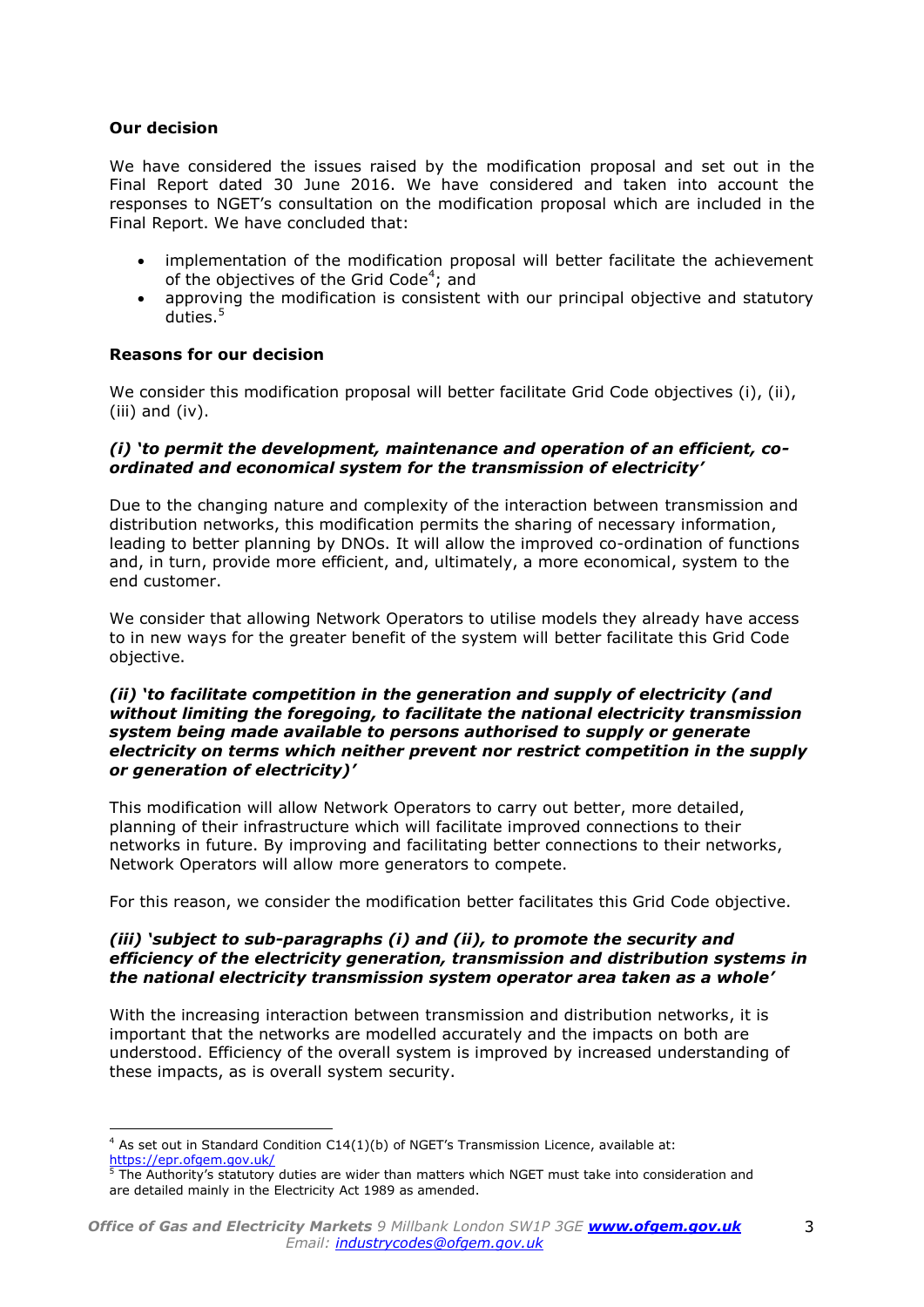## **Our decision**

 $\overline{a}$ 

We have considered the issues raised by the modification proposal and set out in the Final Report dated 30 June 2016. We have considered and taken into account the responses to NGET's consultation on the modification proposal which are included in the Final Report. We have concluded that:

- implementation of the modification proposal will better facilitate the achievement of the objectives of the Grid Code<sup>4</sup>; and
- approving the modification is consistent with our principal objective and statutory duties. 5

## **Reasons for our decision**

We consider this modification proposal will better facilitate Grid Code objectives (i), (ii), (iii) and (iv).

### *(i) 'to permit the development, maintenance and operation of an efficient, coordinated and economical system for the transmission of electricity'*

Due to the changing nature and complexity of the interaction between transmission and distribution networks, this modification permits the sharing of necessary information, leading to better planning by DNOs. It will allow the improved co-ordination of functions and, in turn, provide more efficient, and, ultimately, a more economical, system to the end customer.

We consider that allowing Network Operators to utilise models they already have access to in new ways for the greater benefit of the system will better facilitate this Grid Code objective.

#### *(ii) 'to facilitate competition in the generation and supply of electricity (and without limiting the foregoing, to facilitate the national electricity transmission system being made available to persons authorised to supply or generate electricity on terms which neither prevent nor restrict competition in the supply or generation of electricity)'*

This modification will allow Network Operators to carry out better, more detailed, planning of their infrastructure which will facilitate improved connections to their networks in future. By improving and facilitating better connections to their networks, Network Operators will allow more generators to compete.

For this reason, we consider the modification better facilitates this Grid Code objective.

### *(iii) 'subject to sub-paragraphs (i) and (ii), to promote the security and efficiency of the electricity generation, transmission and distribution systems in the national electricity transmission system operator area taken as a whole'*

With the increasing interaction between transmission and distribution networks, it is important that the networks are modelled accurately and the impacts on both are understood. Efficiency of the overall system is improved by increased understanding of these impacts, as is overall system security.

<sup>4</sup> As set out in Standard Condition C14(1)(b) of NGET's Transmission Licence, available at: <https://epr.ofgem.gov.uk/><br>5 The Authority

<sup>5</sup> The Authority's statutory duties are wider than matters which NGET must take into consideration and are detailed mainly in the Electricity Act 1989 as amended.